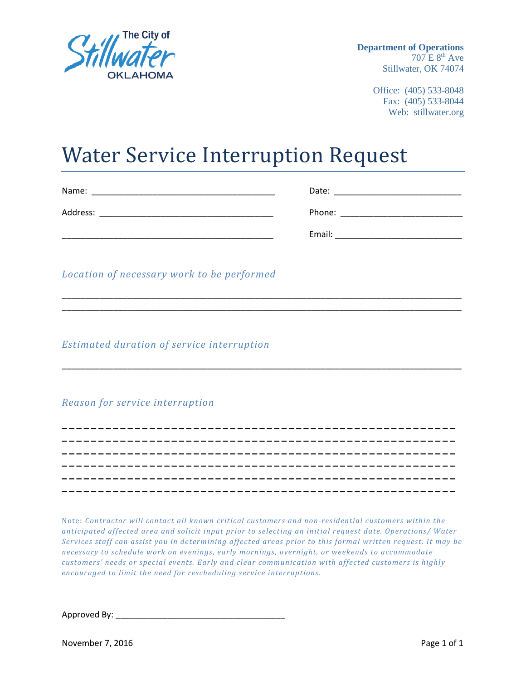

 **Department of Operations**   $707 \text{ E } 8^{\text{th}}$  Ave Stillwater, OK 74074

> Office: (405) 533-8048 Fax: (405) 533-8044 Web: stillwater.org

## Water Service Interruption Request

| Name:    | Date:  |
|----------|--------|
| Address: | Phone: |
|          | Email: |

\_\_\_\_\_\_\_\_\_\_\_\_\_\_\_\_\_\_\_\_\_\_\_\_\_\_\_\_\_\_\_\_\_\_\_\_\_\_\_\_\_\_\_\_\_\_\_\_\_\_\_\_\_\_\_\_\_\_\_\_\_\_\_\_\_\_\_\_\_\_\_\_\_\_\_\_\_\_\_\_\_\_\_\_\_ \_\_\_\_\_\_\_\_\_\_\_\_\_\_\_\_\_\_\_\_\_\_\_\_\_\_\_\_\_\_\_\_\_\_\_\_\_\_\_\_\_\_\_\_\_\_\_\_\_\_\_\_\_\_\_\_\_\_\_\_\_\_\_\_\_\_\_\_\_\_\_\_\_\_\_\_\_\_\_\_\_\_\_\_\_

\_\_\_\_\_\_\_\_\_\_\_\_\_\_\_\_\_\_\_\_\_\_\_\_\_\_\_\_\_\_\_\_\_\_\_\_\_\_\_\_\_\_\_\_\_\_\_\_\_\_\_\_\_\_\_\_\_\_\_\_\_\_\_\_\_\_\_\_\_\_\_\_\_\_\_\_\_\_\_\_\_\_\_\_\_

**\_\_\_\_\_\_\_\_\_\_\_\_\_\_\_\_\_\_\_\_\_\_\_\_\_\_\_\_\_\_\_\_\_\_\_\_\_\_\_\_\_\_\_\_\_\_\_\_\_\_\_\_\_\_ \_\_\_\_\_\_\_\_\_\_\_\_\_\_\_\_\_\_\_\_\_\_\_\_\_\_\_\_\_\_\_\_\_\_\_\_\_\_\_\_\_\_\_\_\_\_\_\_\_\_\_\_\_\_ \_\_\_\_\_\_\_\_\_\_\_\_\_\_\_\_\_\_\_\_\_\_\_\_\_\_\_\_\_\_\_\_\_\_\_\_\_\_\_\_\_\_\_\_\_\_\_\_\_\_\_\_\_\_ \_\_\_\_\_\_\_\_\_\_\_\_\_\_\_\_\_\_\_\_\_\_\_\_\_\_\_\_\_\_\_\_\_\_\_\_\_\_\_\_\_\_\_\_\_\_\_\_\_\_\_\_\_\_ \_\_\_\_\_\_\_\_\_\_\_\_\_\_\_\_\_\_\_\_\_\_\_\_\_\_\_\_\_\_\_\_\_\_\_\_\_\_\_\_\_\_\_\_\_\_\_\_\_\_\_\_\_\_ \_\_\_\_\_\_\_\_\_\_\_\_\_\_\_\_\_\_\_\_\_\_\_\_\_\_\_\_\_\_\_\_\_\_\_\_\_\_\_\_\_\_\_\_\_\_\_\_\_\_\_\_\_\_**

*Location of necessary work to be performed*

*Estimated duration of service interruption*

*Reason for service interruption*

Note: *Contractor will contact all known critical customers and non-residential customers within the anticipated affected area and solicit input prior to selecting an initial request date. Operations/ Water Services staff can assist you in determining affected areas prior to this formal written request. It may be necessary to schedule work on evenings, early mornings, overnight, or weekends to accommodate customers' needs or special events. Early and clear communication with affected customers is highly encouraged to limit the need for rescheduling service interruptions.* 

Approved By: \_\_\_\_\_\_\_\_\_\_\_\_\_\_\_\_\_\_\_\_\_\_\_\_\_\_\_\_\_\_\_\_\_\_\_\_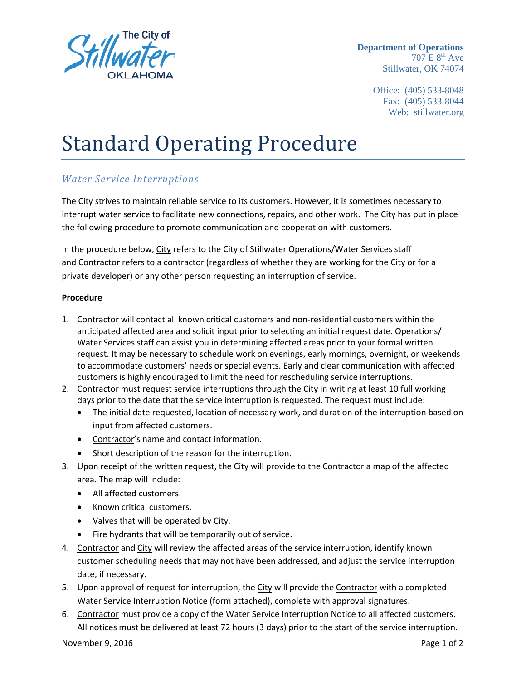

 **Department of Operations**   $707 \text{ E } 8^{\text{th}}$  Ave Stillwater, OK 74074

> Office: (405) 533-8048 Fax: (405) 533-8044 Web: stillwater.org

# Standard Operating Procedure

### *Water Service Interruptions*

The City strives to maintain reliable service to its customers. However, it is sometimes necessary to interrupt water service to facilitate new connections, repairs, and other work. The City has put in place the following procedure to promote communication and cooperation with customers.

In the procedure below, City refers to the City of Stillwater Operations/Water Services staff and Contractor refers to a contractor (regardless of whether they are working for the City or for a private developer) or any other person requesting an interruption of service.

#### **Procedure**

- 1. Contractor will contact all known critical customers and non-residential customers within the anticipated affected area and solicit input prior to selecting an initial request date. Operations/ Water Services staff can assist you in determining affected areas prior to your formal written request. It may be necessary to schedule work on evenings, early mornings, overnight, or weekends to accommodate customers' needs or special events. Early and clear communication with affected customers is highly encouraged to limit the need for rescheduling service interruptions.
- 2. Contractor must request service interruptions through the City in writing at least 10 full working days prior to the date that the service interruption is requested. The request must include:
	- The initial date requested, location of necessary work, and duration of the interruption based on input from affected customers.
	- Contractor's name and contact information.
	- Short description of the reason for the interruption.
- 3. Upon receipt of the written request, the City will provide to the Contractor a map of the affected area. The map will include:
	- All affected customers.
	- Known critical customers.
	- Valves that will be operated by City.
	- Fire hydrants that will be temporarily out of service.
- 4. Contractor and City will review the affected areas of the service interruption, identify known customer scheduling needs that may not have been addressed, and adjust the service interruption date, if necessary.
- 5. Upon approval of request for interruption, the City will provide the Contractor with a completed Water Service Interruption Notice (form attached), complete with approval signatures.
- 6. Contractor must provide a copy of the Water Service Interruption Notice to all affected customers. All notices must be delivered at least 72 hours (3 days) prior to the start of the service interruption.